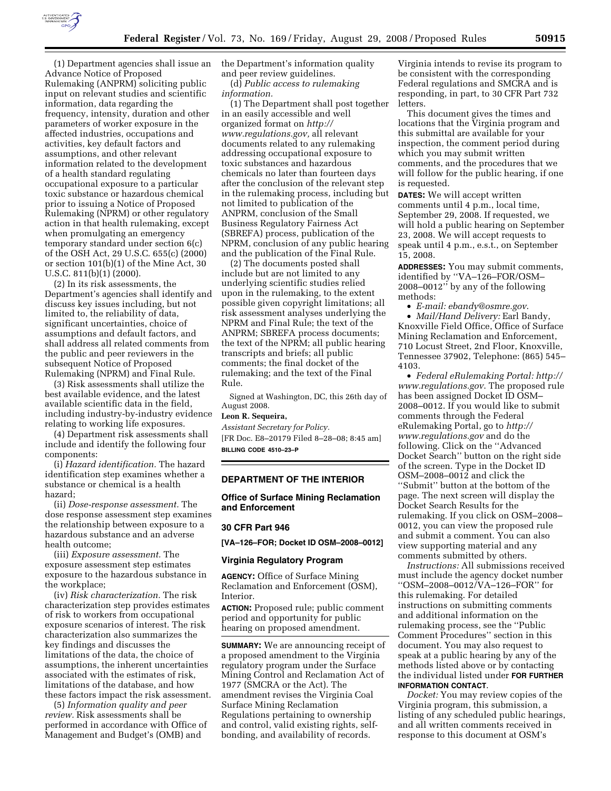

(1) Department agencies shall issue an Advance Notice of Proposed Rulemaking (ANPRM) soliciting public input on relevant studies and scientific information, data regarding the frequency, intensity, duration and other parameters of worker exposure in the affected industries, occupations and activities, key default factors and assumptions, and other relevant information related to the development of a health standard regulating occupational exposure to a particular toxic substance or hazardous chemical prior to issuing a Notice of Proposed Rulemaking (NPRM) or other regulatory action in that health rulemaking, except when promulgating an emergency temporary standard under section 6(c) of the OSH Act, 29 U.S.C. 655(c) (2000) or section 101(b)(1) of the Mine Act, 30 U.S.C. 811(b)(1) (2000).

(2) In its risk assessments, the Department's agencies shall identify and discuss key issues including, but not limited to, the reliability of data, significant uncertainties, choice of assumptions and default factors, and shall address all related comments from the public and peer reviewers in the subsequent Notice of Proposed Rulemaking (NPRM) and Final Rule.

(3) Risk assessments shall utilize the best available evidence, and the latest available scientific data in the field, including industry-by-industry evidence relating to working life exposures.

(4) Department risk assessments shall include and identify the following four components:

(i) *Hazard identification.* The hazard identification step examines whether a substance or chemical is a health hazard;

(ii) *Dose-response assessment.* The dose response assessment step examines the relationship between exposure to a hazardous substance and an adverse health outcome;

(iii) *Exposure assessment.* The exposure assessment step estimates exposure to the hazardous substance in the workplace;

(iv) *Risk characterization.* The risk characterization step provides estimates of risk to workers from occupational exposure scenarios of interest. The risk characterization also summarizes the key findings and discusses the limitations of the data, the choice of assumptions, the inherent uncertainties associated with the estimates of risk, limitations of the database, and how these factors impact the risk assessment.

(5) *Information quality and peer review.* Risk assessments shall be performed in accordance with Office of Management and Budget's (OMB) and

the Department's information quality and peer review guidelines.

(d) *Public access to rulemaking information.* 

(1) The Department shall post together in an easily accessible and well organized format on *http:// www.regulations.gov,* all relevant documents related to any rulemaking addressing occupational exposure to toxic substances and hazardous chemicals no later than fourteen days after the conclusion of the relevant step in the rulemaking process, including but not limited to publication of the ANPRM, conclusion of the Small Business Regulatory Fairness Act (SBREFA) process, publication of the NPRM, conclusion of any public hearing and the publication of the Final Rule.

(2) The documents posted shall include but are not limited to any underlying scientific studies relied upon in the rulemaking, to the extent possible given copyright limitations; all risk assessment analyses underlying the NPRM and Final Rule; the text of the ANPRM; SBREFA process documents; the text of the NPRM; all public hearing transcripts and briefs; all public comments; the final docket of the rulemaking; and the text of the Final Rule.

Signed at Washington, DC, this 26th day of August 2008.

### **Leon R. Sequeira,**

*Assistant Secretary for Policy.*  [FR Doc. E8–20179 Filed 8–28–08; 8:45 am] **BILLING CODE 4510–23–P** 

### **DEPARTMENT OF THE INTERIOR**

# **Office of Surface Mining Reclamation and Enforcement**

# **30 CFR Part 946**

**[VA–126–FOR; Docket ID OSM–2008–0012]** 

#### **Virginia Regulatory Program**

**AGENCY:** Office of Surface Mining Reclamation and Enforcement (OSM), Interior.

**ACTION:** Proposed rule; public comment period and opportunity for public hearing on proposed amendment.

**SUMMARY:** We are announcing receipt of a proposed amendment to the Virginia regulatory program under the Surface Mining Control and Reclamation Act of 1977 (SMCRA or the Act). The amendment revises the Virginia Coal Surface Mining Reclamation Regulations pertaining to ownership and control, valid existing rights, selfbonding, and availability of records.

Virginia intends to revise its program to be consistent with the corresponding Federal regulations and SMCRA and is responding, in part, to 30 CFR Part 732 letters.

This document gives the times and locations that the Virginia program and this submittal are available for your inspection, the comment period during which you may submit written comments, and the procedures that we will follow for the public hearing, if one is requested.

**DATES:** We will accept written comments until 4 p.m., local time, September 29, 2008. If requested, we will hold a public hearing on September 23, 2008. We will accept requests to speak until 4 p.m., e.s.t., on September 15, 2008.

**ADDRESSES:** You may submit comments, identified by ''VA–126–FOR/OSM– 2008–0012'' by any of the following methods:

• *E-mail: ebandy@osmre.gov*.

• *Mail/Hand Delivery:* Earl Bandy, Knoxville Field Office, Office of Surface Mining Reclamation and Enforcement, 710 Locust Street, 2nd Floor, Knoxville, Tennessee 37902, Telephone: (865) 545– 4103.

• *Federal eRulemaking Portal: http:// www.regulations.gov*. The proposed rule has been assigned Docket ID OSM– 2008–0012. If you would like to submit comments through the Federal eRulemaking Portal, go to *http:// www.regulations.gov* and do the following. Click on the ''Advanced Docket Search'' button on the right side of the screen. Type in the Docket ID OSM–2008–0012 and click the ''Submit'' button at the bottom of the page. The next screen will display the Docket Search Results for the rulemaking. If you click on OSM–2008– 0012, you can view the proposed rule and submit a comment. You can also view supporting material and any comments submitted by others.

*Instructions:* All submissions received must include the agency docket number ''OSM–2008–0012/VA–126–FOR'' for this rulemaking. For detailed instructions on submitting comments and additional information on the rulemaking process, see the ''Public Comment Procedures'' section in this document. You may also request to speak at a public hearing by any of the methods listed above or by contacting the individual listed under **FOR FURTHER INFORMATION CONTACT**.

*Docket:* You may review copies of the Virginia program, this submission, a listing of any scheduled public hearings, and all written comments received in response to this document at OSM's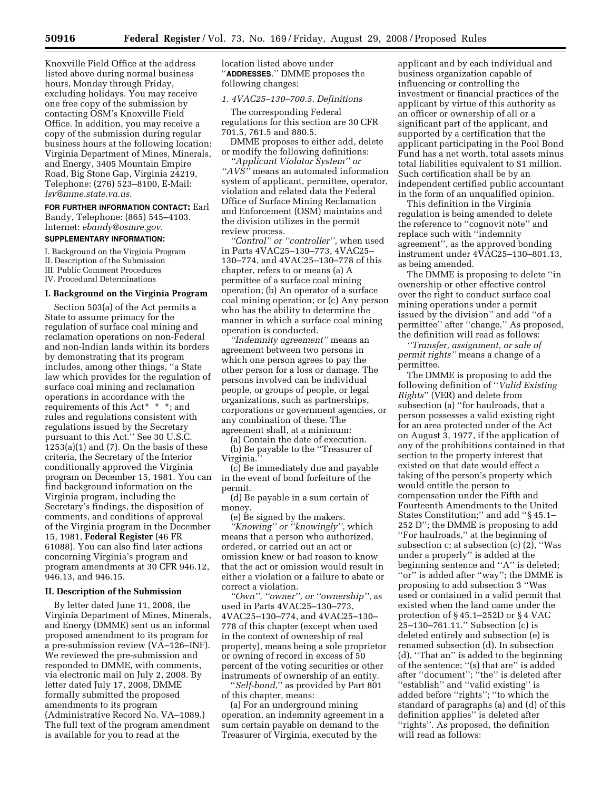Knoxville Field Office at the address listed above during normal business hours, Monday through Friday, excluding holidays. You may receive one free copy of the submission by contacting OSM's Knoxville Field Office. In addition, you may receive a copy of the submission during regular business hours at the following location: Virginia Department of Mines, Minerals, and Energy, 3405 Mountain Empire Road, Big Stone Gap, Virginia 24219, Telephone: (276) 523–8100, E-Mail: *lsv@mme.state.va.us*.

**FOR FURTHER INFORMATION CONTACT:** Earl Bandy, Telephone: (865) 545–4103. Internet: *ebandy@osmre.gov*.

#### **SUPPLEMENTARY INFORMATION:**

I. Background on the Virginia Program II. Description of the Submission

III. Public Comment Procedures

IV. Procedural Determinations

#### **I. Background on the Virginia Program**

Section 503(a) of the Act permits a State to assume primacy for the regulation of surface coal mining and reclamation operations on non-Federal and non-Indian lands within its borders by demonstrating that its program includes, among other things, ''a State law which provides for the regulation of surface coal mining and reclamation operations in accordance with the requirements of this Act\* \* \*; and rules and regulations consistent with regulations issued by the Secretary pursuant to this Act." See 30 U.S.C. 1253(a)(1) and (7). On the basis of these criteria, the Secretary of the Interior conditionally approved the Virginia program on December 15, 1981. You can find background information on the Virginia program, including the Secretary's findings, the disposition of comments, and conditions of approval of the Virginia program in the December 15, 1981, **Federal Register** (46 FR 61088). You can also find later actions concerning Virginia's program and program amendments at 30 CFR 946.12, 946.13, and 946.15.

#### **II. Description of the Submission**

By letter dated June 11, 2008, the Virginia Department of Mines, Minerals, and Energy (DMME) sent us an informal proposed amendment to its program for a pre-submission review (VA–126–INF). We reviewed the pre-submission and responded to DMME, with comments, via electronic mail on July 2, 2008. By letter dated July 17, 2008, DMME formally submitted the proposed amendments to its program (Administrative Record No. VA–1089.) The full text of the program amendment is available for you to read at the

location listed above under ''**ADDRESSES**.'' DMME proposes the following changes:

#### *1. 4VAC25–130–700.5. Definitions*

The corresponding Federal regulations for this section are 30 CFR 701.5, 761.5 and 880.5.

DMME proposes to either add, delete or modify the following definitions:

*''Applicant Violator System'' or ''AVS''* means an automated information system of applicant, permittee, operator, violation and related data the Federal Office of Surface Mining Reclamation and Enforcement (OSM) maintains and the division utilizes in the permit review process.

*''Control'' or ''controller''*, when used in Parts 4VAC25–130–773, 4VAC25– 130–774, and 4VAC25–130–778 of this chapter, refers to or means (a) A permittee of a surface coal mining operation; (b) An operator of a surface coal mining operation; or (c) Any person who has the ability to determine the manner in which a surface coal mining operation is conducted.

*''Indemnity agreement''* means an agreement between two persons in which one person agrees to pay the other person for a loss or damage. The persons involved can be individual people, or groups of people, or legal organizations, such as partnerships, corporations or government agencies, or any combination of these. The agreement shall, at a minimum:

(a) Contain the date of execution. (b) Be payable to the ''Treasurer of

Virginia.''

(c) Be immediately due and payable in the event of bond forfeiture of the permit.

(d) Be payable in a sum certain of money.

(e) Be signed by the makers.

*''Knowing'' or ''knowingly''*, which means that a person who authorized, ordered, or carried out an act or omission knew or had reason to know that the act or omission would result in either a violation or a failure to abate or correct a violation.

*''Own'', ''owner'', or ''ownership''*, as used in Parts 4VAC25–130–773, 4VAC25–130–774, and 4VAC25–130– 778 of this chapter (except when used in the context of ownership of real property), means being a sole proprietor or owning of record in excess of 50 percent of the voting securities or other instruments of ownership of an entity.

''*Self-bond*,'' as provided by Part 801 of this chapter, means:

(a) For an underground mining operation, an indemnity agreement in a sum certain payable on demand to the Treasurer of Virginia, executed by the

applicant and by each individual and business organization capable of influencing or controlling the investment or financial practices of the applicant by virtue of this authority as an officer or ownership of all or a significant part of the applicant, and supported by a certification that the applicant participating in the Pool Bond Fund has a net worth, total assets minus total liabilities equivalent to \$1 million. Such certification shall be by an independent certified public accountant in the form of an unqualified opinion.

This definition in the Virginia regulation is being amended to delete the reference to ''cognovit note'' and replace such with ''indemnity agreement'', as the approved bonding instrument under 4VAC25–130–801.13, as being amended.

The DMME is proposing to delete ''in ownership or other effective control over the right to conduct surface coal mining operations under a permit issued by the division'' and add ''of a permittee'' after ''change.'' As proposed, the definition will read as follows:

*''Transfer, assignment, or sale of permit rights''* means a change of a permittee.

The DMME is proposing to add the following definition of ''*Valid Existing Rights*'' (VER) and delete from subsection (a) ''for haulroads, that a person possesses a valid existing right for an area protected under of the Act on August 3, 1977, if the application of any of the prohibitions contained in that section to the property interest that existed on that date would effect a taking of the person's property which would entitle the person to compensation under the Fifth and Fourteenth Amendments to the United States Constitution;'' and add ''§ 45.1– 252 D''; the DMME is proposing to add ''For haulroads,'' at the beginning of subsection c; at subsection (c) (2), ''Was under a properly'' is added at the beginning sentence and ''A'' is deleted; ''or'' is added after ''way''; the DMME is proposing to add subsection 3 ''Was used or contained in a valid permit that existed when the land came under the protection of § 45.1–252D or § 4 VAC 25–130–761.11.'' Subsection (c) is deleted entirely and subsection (e) is renamed subsection (d). In subsection (d), ''That an'' is added to the beginning of the sentence; ''(s) that are'' is added after ''document''; ''the'' is deleted after ''establish'' and ''valid existing'' is added before ''rights''; ''to which the standard of paragraphs (a) and (d) of this definition applies'' is deleted after ''rights''. As proposed, the definition will read as follows: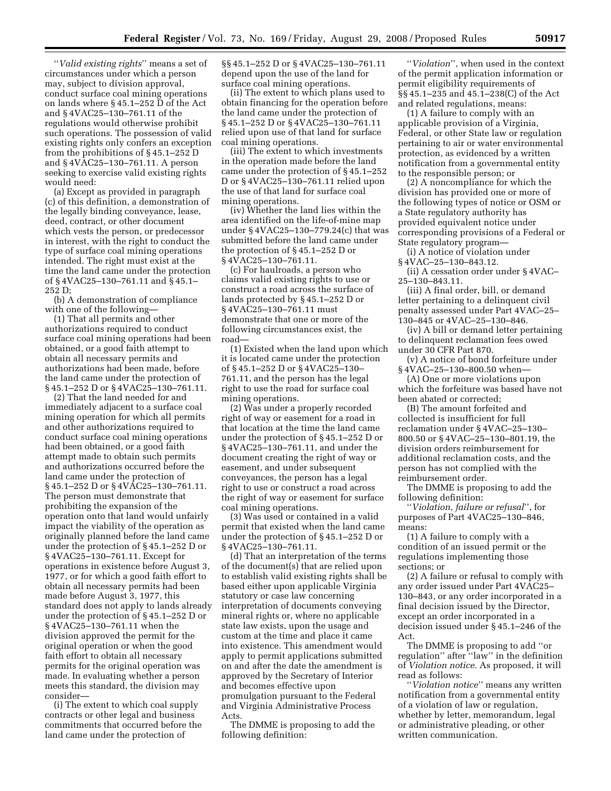''*Valid existing rights*'' means a set of circumstances under which a person may, subject to division approval, conduct surface coal mining operations on lands where  $\S$  45.1–252  $\bar{D}$  of the Act and § 4VAC25–130–761.11 of the regulations would otherwise prohibit such operations. The possession of valid existing rights only confers an exception from the prohibitions of § 45.1–252 D and § 4VAC25–130–761.11. A person seeking to exercise valid existing rights would need:

(a) Except as provided in paragraph (c) of this definition, a demonstration of the legally binding conveyance, lease, deed, contract, or other document which vests the person, or predecessor in interest, with the right to conduct the type of surface coal mining operations intended. The right must exist at the time the land came under the protection of § 4VAC25–130–761.11 and § 45.1– 252 D;

(b) A demonstration of compliance with one of the following—

(1) That all permits and other authorizations required to conduct surface coal mining operations had been obtained, or a good faith attempt to obtain all necessary permits and authorizations had been made, before the land came under the protection of § 45.1–252 D or § 4VAC25–130–761.11.

(2) That the land needed for and immediately adjacent to a surface coal mining operation for which all permits and other authorizations required to conduct surface coal mining operations had been obtained, or a good faith attempt made to obtain such permits and authorizations occurred before the land came under the protection of § 45.1–252 D or § 4VAC25–130–761.11. The person must demonstrate that prohibiting the expansion of the operation onto that land would unfairly impact the viability of the operation as originally planned before the land came under the protection of § 45.1–252 D or § 4VAC25–130–761.11. Except for operations in existence before August 3, 1977, or for which a good faith effort to obtain all necessary permits had been made before August 3, 1977, this standard does not apply to lands already under the protection of § 45.1–252 D or § 4VAC25–130–761.11 when the division approved the permit for the original operation or when the good faith effort to obtain all necessary permits for the original operation was made. In evaluating whether a person meets this standard, the division may consider—

(i) The extent to which coal supply contracts or other legal and business commitments that occurred before the land came under the protection of

§§ 45.1–252 D or § 4VAC25–130–761.11 depend upon the use of the land for surface coal mining operations.

(ii) The extent to which plans used to obtain financing for the operation before the land came under the protection of § 45.1–252 D or § 4VAC25–130–761.11 relied upon use of that land for surface coal mining operations.

(iii) The extent to which investments in the operation made before the land came under the protection of § 45.1–252 D or § 4VAC25–130–761.11 relied upon the use of that land for surface coal mining operations.

(iv) Whether the land lies within the area identified on the life-of-mine map under § 4VAC25–130–779.24(c) that was submitted before the land came under the protection of § 45.1–252 D or § 4VAC25–130–761.11.

(c) For haulroads, a person who claims valid existing rights to use or construct a road across the surface of lands protected by § 45.1–252 D or § 4VAC25–130–761.11 must demonstrate that one or more of the following circumstances exist, the road—

(1) Existed when the land upon which it is located came under the protection of § 45.1–252 D or § 4VAC25–130– 761.11, and the person has the legal right to use the road for surface coal mining operations.

(2) Was under a properly recorded right of way or easement for a road in that location at the time the land came under the protection of § 45.1–252 D or § 4VAC25–130–761.11, and under the document creating the right of way or easement, and under subsequent conveyances, the person has a legal right to use or construct a road across the right of way or easement for surface coal mining operations.

(3) Was used or contained in a valid permit that existed when the land came under the protection of § 45.1–252 D or § 4VAC25–130–761.11.

(d) That an interpretation of the terms of the document(s) that are relied upon to establish valid existing rights shall be based either upon applicable Virginia statutory or case law concerning interpretation of documents conveying mineral rights or, where no applicable state law exists, upon the usage and custom at the time and place it came into existence. This amendment would apply to permit applications submitted on and after the date the amendment is approved by the Secretary of Interior and becomes effective upon promulgation pursuant to the Federal and Virginia Administrative Process Acts.

The DMME is proposing to add the following definition:

''*Violation*'', when used in the context of the permit application information or permit eligibility requirements of §§ 45.1–235 and 45.1–238(C) of the Act and related regulations, means:

(1) A failure to comply with an applicable provision of a Virginia, Federal, or other State law or regulation pertaining to air or water environmental protection, as evidenced by a written notification from a governmental entity to the responsible person; or

(2) A noncompliance for which the division has provided one or more of the following types of notice or OSM or a State regulatory authority has provided equivalent notice under corresponding provisions of a Federal or State regulatory program—

(i) A notice of violation under

§ 4VAC–25–130–843.12.

(ii) A cessation order under § 4VAC– 25–130–843.11.

(iii) A final order, bill, or demand letter pertaining to a delinquent civil penalty assessed under Part 4VAC–25– 130–845 or 4VAC–25–130–846.

(iv) A bill or demand letter pertaining to delinquent reclamation fees owed under 30 CFR Part 870.

(v) A notice of bond forfeiture under § 4VAC–25–130–800.50 when—

(A) One or more violations upon which the forfeiture was based have not been abated or corrected;

(B) The amount forfeited and collected is insufficient for full reclamation under § 4VAC–25–130– 800.50 or § 4VAC–25–130–801.19, the division orders reimbursement for additional reclamation costs, and the person has not complied with the reimbursement order.

The DMME is proposing to add the following definition:

''*Violation, failure or refusal*'', for purposes of Part 4VAC25–130–846, means:

(1) A failure to comply with a condition of an issued permit or the regulations implementing those sections; or

(2) A failure or refusal to comply with any order issued under Part 4VAC25– 130–843, or any order incorporated in a final decision issued by the Director, except an order incorporated in a decision issued under § 45.1–246 of the Act.

The DMME is proposing to add ''or regulation'' after ''law'' in the definition of *Violation notice*. As proposed, it will read as follows:

''*Violation notice*'' means any written notification from a governmental entity of a violation of law or regulation, whether by letter, memorandum, legal or administrative pleading, or other written communication.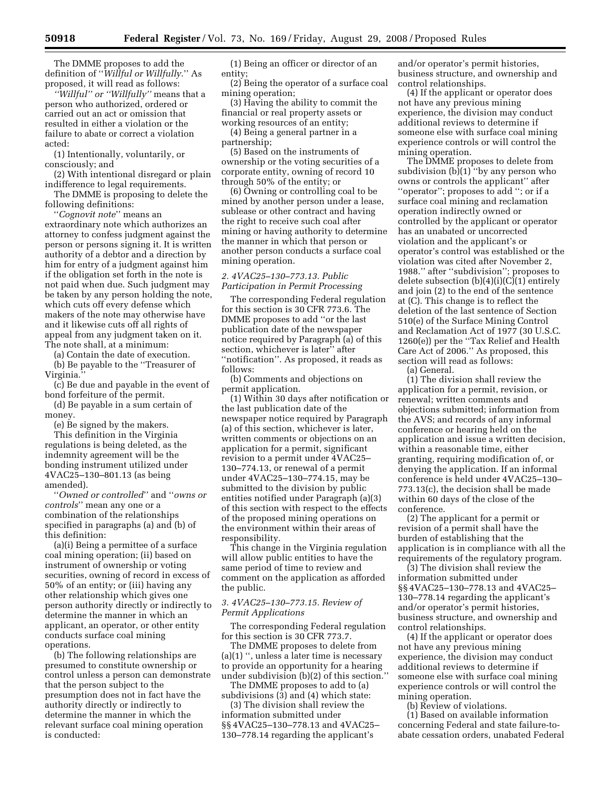The DMME proposes to add the definition of ''*Willful or Willfully*.'' As proposed, it will read as follows:

*''Willful'' or ''Willfully''* means that a person who authorized, ordered or carried out an act or omission that resulted in either a violation or the failure to abate or correct a violation acted:

(1) Intentionally, voluntarily, or consciously; and

(2) With intentional disregard or plain indifference to legal requirements.

The DMME is proposing to delete the following definitions:

''*Cognovit note*'' means an extraordinary note which authorizes an attorney to confess judgment against the person or persons signing it. It is written authority of a debtor and a direction by him for entry of a judgment against him if the obligation set forth in the note is not paid when due. Such judgment may be taken by any person holding the note, which cuts off every defense which makers of the note may otherwise have and it likewise cuts off all rights of appeal from any judgment taken on it. The note shall, at a minimum:

(a) Contain the date of execution.

(b) Be payable to the ''Treasurer of Virginia.

(c) Be due and payable in the event of bond forfeiture of the permit.

(d) Be payable in a sum certain of money.

(e) Be signed by the makers.

This definition in the Virginia regulations is being deleted, as the indemnity agreement will be the bonding instrument utilized under 4VAC25–130–801.13 (as being amended).

''*Owned or controlled*'' and ''*owns or controls*'' mean any one or a combination of the relationships specified in paragraphs (a) and (b) of this definition:

(a)(i) Being a permittee of a surface coal mining operation; (ii) based on instrument of ownership or voting securities, owning of record in excess of 50% of an entity; or (iii) having any other relationship which gives one person authority directly or indirectly to determine the manner in which an applicant, an operator, or other entity conducts surface coal mining operations.

(b) The following relationships are presumed to constitute ownership or control unless a person can demonstrate that the person subject to the presumption does not in fact have the authority directly or indirectly to determine the manner in which the relevant surface coal mining operation is conducted:

(1) Being an officer or director of an entity;

(2) Being the operator of a surface coal mining operation;

(3) Having the ability to commit the financial or real property assets or working resources of an entity;

(4) Being a general partner in a partnership;

(5) Based on the instruments of ownership or the voting securities of a corporate entity, owning of record 10 through 50% of the entity; or

(6) Owning or controlling coal to be mined by another person under a lease, sublease or other contract and having the right to receive such coal after mining or having authority to determine the manner in which that person or another person conducts a surface coal mining operation.

### *2. 4VAC25–130–773.13. Public Participation in Permit Processing*

The corresponding Federal regulation for this section is 30 CFR 773.6. The DMME proposes to add ''or the last publication date of the newspaper notice required by Paragraph (a) of this section, whichever is later'' after ''notification''. As proposed, it reads as follows:

(b) Comments and objections on permit application.

(1) Within 30 days after notification or the last publication date of the newspaper notice required by Paragraph (a) of this section, whichever is later, written comments or objections on an application for a permit, significant revision to a permit under 4VAC25– 130–774.13, or renewal of a permit under 4VAC25–130–774.15, may be submitted to the division by public entities notified under Paragraph (a)(3) of this section with respect to the effects of the proposed mining operations on the environment within their areas of responsibility.

This change in the Virginia regulation will allow public entities to have the same period of time to review and comment on the application as afforded the public.

### *3. 4VAC25–130–773.15. Review of Permit Applications*

The corresponding Federal regulation for this section is 30 CFR 773.7.

The DMME proposes to delete from (a)(1) '', unless a later time is necessary to provide an opportunity for a hearing under subdivision (b)(2) of this section.''

The DMME proposes to add to (a) subdivisions (3) and (4) which state: (3) The division shall review the

information submitted under §§ 4VAC25–130–778.13 and 4VAC25– 130–778.14 regarding the applicant's

and/or operator's permit histories, business structure, and ownership and control relationships.

(4) If the applicant or operator does not have any previous mining experience, the division may conduct additional reviews to determine if someone else with surface coal mining experience controls or will control the mining operation.

The DMME proposes to delete from subdivision  $(b)(1)$  "by any person who owns or controls the applicant'' after ''operator''; proposes to add ''; or if a surface coal mining and reclamation operation indirectly owned or controlled by the applicant or operator has an unabated or uncorrected violation and the applicant's or operator's control was established or the violation was cited after November 2, 1988.'' after ''subdivision''; proposes to delete subsection  $(b)(4)(i)(C)(1)$  entirely and join (2) to the end of the sentence at (C). This change is to reflect the deletion of the last sentence of Section 510(e) of the Surface Mining Control and Reclamation Act of 1977 (30 U.S.C. 1260(e)) per the ''Tax Relief and Health Care Act of 2006.'' As proposed, this section will read as follows:

(a) General.

(1) The division shall review the application for a permit, revision, or renewal; written comments and objections submitted; information from the AVS; and records of any informal conference or hearing held on the application and issue a written decision, within a reasonable time, either granting, requiring modification of, or denying the application. If an informal conference is held under 4VAC25–130– 773.13(c), the decision shall be made within 60 days of the close of the conference.

(2) The applicant for a permit or revision of a permit shall have the burden of establishing that the application is in compliance with all the requirements of the regulatory program.

(3) The division shall review the information submitted under §§ 4VAC25–130–778.13 and 4VAC25– 130–778.14 regarding the applicant's and/or operator's permit histories, business structure, and ownership and control relationships.

(4) If the applicant or operator does not have any previous mining experience, the division may conduct additional reviews to determine if someone else with surface coal mining experience controls or will control the mining operation.

(b) Review of violations.

(1) Based on available information concerning Federal and state failure-toabate cessation orders, unabated Federal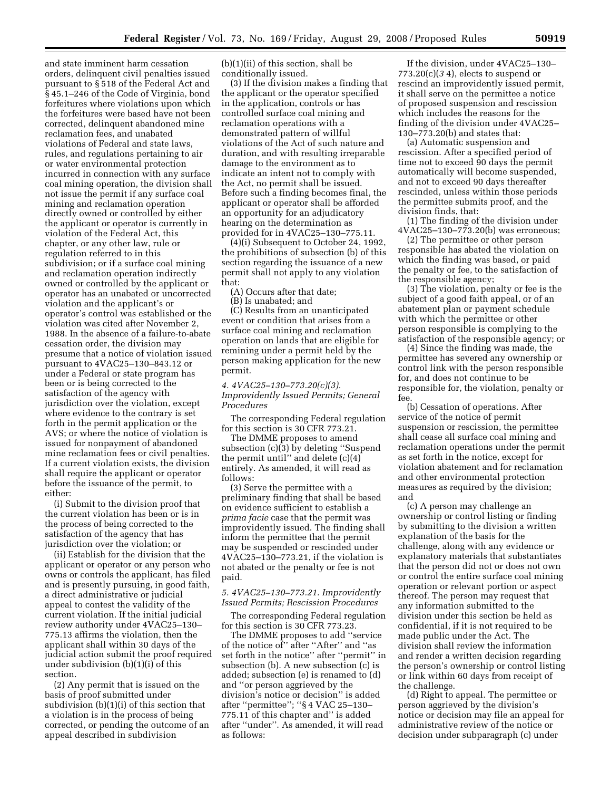and state imminent harm cessation orders, delinquent civil penalties issued pursuant to § 518 of the Federal Act and § 45.1–246 of the Code of Virginia, bond forfeitures where violations upon which the forfeitures were based have not been corrected, delinquent abandoned mine reclamation fees, and unabated violations of Federal and state laws, rules, and regulations pertaining to air or water environmental protection incurred in connection with any surface coal mining operation, the division shall not issue the permit if any surface coal mining and reclamation operation directly owned or controlled by either the applicant or operator is currently in violation of the Federal Act, this chapter, or any other law, rule or regulation referred to in this subdivision; or if a surface coal mining and reclamation operation indirectly owned or controlled by the applicant or operator has an unabated or uncorrected violation and the applicant's or operator's control was established or the violation was cited after November 2, 1988. In the absence of a failure-to-abate cessation order, the division may presume that a notice of violation issued pursuant to 4VAC25–130–843.12 or under a Federal or state program has been or is being corrected to the satisfaction of the agency with jurisdiction over the violation, except where evidence to the contrary is set forth in the permit application or the AVS; or where the notice of violation is issued for nonpayment of abandoned mine reclamation fees or civil penalties. If a current violation exists, the division shall require the applicant or operator before the issuance of the permit, to either:

(i) Submit to the division proof that the current violation has been or is in the process of being corrected to the satisfaction of the agency that has jurisdiction over the violation; or

(ii) Establish for the division that the applicant or operator or any person who owns or controls the applicant, has filed and is presently pursuing, in good faith, a direct administrative or judicial appeal to contest the validity of the current violation. If the initial judicial review authority under 4VAC25–130– 775.13 affirms the violation, then the applicant shall within 30 days of the judicial action submit the proof required under subdivision (b)(1)(i) of this section.

(2) Any permit that is issued on the basis of proof submitted under subdivision (b)(1)(i) of this section that a violation is in the process of being corrected, or pending the outcome of an appeal described in subdivision

(b)(1)(ii) of this section, shall be conditionally issued.

(3) If the division makes a finding that the applicant or the operator specified in the application, controls or has controlled surface coal mining and reclamation operations with a demonstrated pattern of willful violations of the Act of such nature and duration, and with resulting irreparable damage to the environment as to indicate an intent not to comply with the Act, no permit shall be issued. Before such a finding becomes final, the applicant or operator shall be afforded an opportunity for an adjudicatory hearing on the determination as provided for in 4VAC25–130–775.11.

(4)(i) Subsequent to October 24, 1992, the prohibitions of subsection (b) of this section regarding the issuance of a new permit shall not apply to any violation that:

(A) Occurs after that date;

(B) Is unabated; and

(C) Results from an unanticipated event or condition that arises from a surface coal mining and reclamation operation on lands that are eligible for remining under a permit held by the person making application for the new permit.

*4. 4VAC25–130–773.20(c)(3). Improvidently Issued Permits; General Procedures* 

The corresponding Federal regulation for this section is 30 CFR 773.21.

The DMME proposes to amend subsection (c)(3) by deleting ''Suspend the permit until'' and delete (c)(4) entirely. As amended, it will read as follows:

(3) Serve the permittee with a preliminary finding that shall be based on evidence sufficient to establish a *prima facie* case that the permit was improvidently issued. The finding shall inform the permittee that the permit may be suspended or rescinded under 4VAC25–130–773.21, if the violation is not abated or the penalty or fee is not paid.

# *5. 4VAC25–130–773.21. Improvidently Issued Permits; Rescission Procedures*

The corresponding Federal regulation for this section is 30 CFR 773.23.

The DMME proposes to add ''service of the notice of'' after ''After'' and ''as set forth in the notice'' after ''permit'' in subsection (b). A new subsection (c) is added; subsection (e) is renamed to (d) and ''or person aggrieved by the division's notice or decision'' is added after ''permittee''; ''§ 4 VAC 25–130– 775.11 of this chapter and'' is added after ''under''. As amended, it will read as follows:

If the division, under 4VAC25–130– 773.20(c)(*3* 4), elects to suspend or rescind an improvidently issued permit, it shall serve on the permittee a notice of proposed suspension and rescission which includes the reasons for the finding of the division under 4VAC25– 130–773.20(b) and states that:

(a) Automatic suspension and rescission. After a specified period of time not to exceed 90 days the permit automatically will become suspended, and not to exceed 90 days thereafter rescinded, unless within those periods the permittee submits proof, and the division finds, that:

(1) The finding of the division under 4VAC25–130–773.20(b) was erroneous;

(2) The permittee or other person responsible has abated the violation on which the finding was based, or paid the penalty or fee, to the satisfaction of the responsible agency;

(3) The violation, penalty or fee is the subject of a good faith appeal, or of an abatement plan or payment schedule with which the permittee or other person responsible is complying to the satisfaction of the responsible agency; or

(4) Since the finding was made, the permittee has severed any ownership or control link with the person responsible for, and does not continue to be responsible for, the violation, penalty or fee.

(b) Cessation of operations. After service of the notice of permit suspension or rescission, the permittee shall cease all surface coal mining and reclamation operations under the permit as set forth in the notice, except for violation abatement and for reclamation and other environmental protection measures as required by the division; and

(c) A person may challenge an ownership or control listing or finding by submitting to the division a written explanation of the basis for the challenge, along with any evidence or explanatory materials that substantiates that the person did not or does not own or control the entire surface coal mining operation or relevant portion or aspect thereof. The person may request that any information submitted to the division under this section be held as confidential, if it is not required to be made public under the Act. The division shall review the information and render a written decision regarding the person's ownership or control listing or link within 60 days from receipt of the challenge.

(d) Right to appeal. The permittee or person aggrieved by the division's notice or decision may file an appeal for administrative review of the notice or decision under subparagraph (c) under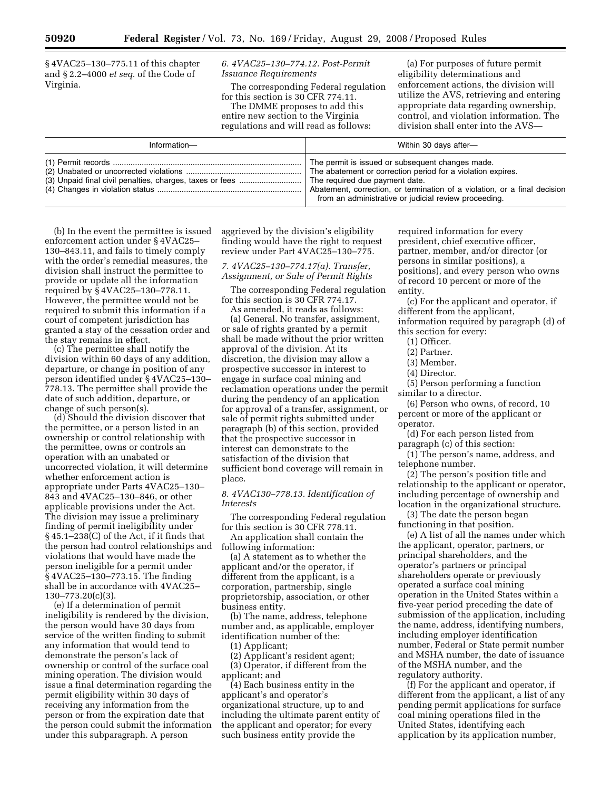§ 4VAC25–130–775.11 of this chapter and § 2.2–4000 *et seq.* of the Code of Virginia.

*6. 4VAC25–130–774.12. Post-Permit Issuance Requirements* 

The corresponding Federal regulation

for this section is 30 CFR 774.11. The DMME proposes to add this entire new section to the Virginia regulations and will read as follows:

(a) For purposes of future permit eligibility determinations and enforcement actions, the division will utilize the AVS, retrieving and entering appropriate data regarding ownership, control, and violation information. The division shall enter into the AVS—

| Information— | Within 30 days after-                                                     |
|--------------|---------------------------------------------------------------------------|
|              | The permit is issued or subsequent changes made.                          |
|              | The abatement or correction period for a violation expires.               |
|              | Abatement, correction, or termination of a violation, or a final decision |
|              | from an administrative or judicial review proceeding.                     |

(b) In the event the permittee is issued enforcement action under § 4VAC25– 130–843.11, and fails to timely comply with the order's remedial measures, the division shall instruct the permittee to provide or update all the information required by § 4VAC25–130–778.11. However, the permittee would not be required to submit this information if a court of competent jurisdiction has granted a stay of the cessation order and the stay remains in effect.

(c) The permittee shall notify the division within 60 days of any addition, departure, or change in position of any person identified under § 4VAC25–130– 778.13. The permittee shall provide the date of such addition, departure, or change of such person(s).

(d) Should the division discover that the permittee, or a person listed in an ownership or control relationship with the permittee, owns or controls an operation with an unabated or uncorrected violation, it will determine whether enforcement action is appropriate under Parts 4VAC25–130– 843 and 4VAC25–130–846, or other applicable provisions under the Act. The division may issue a preliminary finding of permit ineligibility under § 45.1–238(C) of the Act, if it finds that the person had control relationships and violations that would have made the person ineligible for a permit under § 4VAC25–130–773.15. The finding shall be in accordance with 4VAC25– 130–773.20(c)(3).

(e) If a determination of permit ineligibility is rendered by the division, the person would have 30 days from service of the written finding to submit any information that would tend to demonstrate the person's lack of ownership or control of the surface coal mining operation. The division would issue a final determination regarding the permit eligibility within 30 days of receiving any information from the person or from the expiration date that the person could submit the information under this subparagraph. A person

aggrieved by the division's eligibility finding would have the right to request review under Part 4VAC25–130–775.

*7. 4VAC25–130–774.17(a). Transfer, Assignment, or Sale of Permit Rights* 

The corresponding Federal regulation for this section is 30 CFR 774.17.

As amended, it reads as follows: (a) General. No transfer, assignment, or sale of rights granted by a permit shall be made without the prior written approval of the division. At its discretion, the division may allow a prospective successor in interest to engage in surface coal mining and reclamation operations under the permit during the pendency of an application for approval of a transfer, assignment, or sale of permit rights submitted under paragraph (b) of this section, provided that the prospective successor in interest can demonstrate to the satisfaction of the division that sufficient bond coverage will remain in place.

*8. 4VAC130–778.13. Identification of Interests* 

The corresponding Federal regulation for this section is 30 CFR 778.11.

An application shall contain the following information:

(a) A statement as to whether the applicant and/or the operator, if different from the applicant, is a corporation, partnership, single proprietorship, association, or other business entity.

(b) The name, address, telephone number and, as applicable, employer identification number of the:

(1) Applicant;

(2) Applicant's resident agent; (3) Operator, if different from the applicant; and

(4) Each business entity in the applicant's and operator's organizational structure, up to and including the ultimate parent entity of the applicant and operator; for every such business entity provide the

required information for every president, chief executive officer, partner, member, and/or director (or persons in similar positions), a positions), and every person who owns of record 10 percent or more of the entity.

(c) For the applicant and operator, if different from the applicant, information required by paragraph (d) of this section for every:

- (1) Officer.
- (2) Partner.
- (3) Member.
- (4) Director.

(5) Person performing a function similar to a director.

(6) Person who owns, of record, 10 percent or more of the applicant or operator.

(d) For each person listed from paragraph (c) of this section:

(1) The person's name, address, and telephone number.

(2) The person's position title and relationship to the applicant or operator, including percentage of ownership and location in the organizational structure.

(3) The date the person began functioning in that position.

(e) A list of all the names under which the applicant, operator, partners, or principal shareholders, and the operator's partners or principal shareholders operate or previously operated a surface coal mining operation in the United States within a five-year period preceding the date of submission of the application, including the name, address, identifying numbers, including employer identification number, Federal or State permit number and MSHA number, the date of issuance of the MSHA number, and the regulatory authority.

(f) For the applicant and operator, if different from the applicant, a list of any pending permit applications for surface coal mining operations filed in the United States, identifying each application by its application number,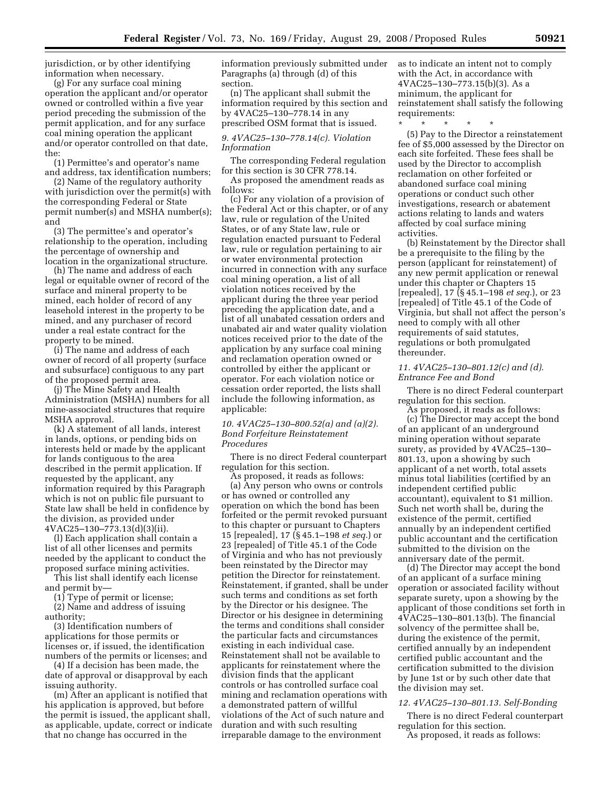jurisdiction, or by other identifying information when necessary.

(g) For any surface coal mining operation the applicant and/or operator owned or controlled within a five year period preceding the submission of the permit application, and for any surface coal mining operation the applicant and/or operator controlled on that date, the:

(1) Permittee's and operator's name and address, tax identification numbers;

(2) Name of the regulatory authority with jurisdiction over the permit(s) with the corresponding Federal or State permit number(s) and MSHA number(s); and

(3) The permittee's and operator's relationship to the operation, including the percentage of ownership and location in the organizational structure.

(h) The name and address of each legal or equitable owner of record of the surface and mineral property to be mined, each holder of record of any leasehold interest in the property to be mined, and any purchaser of record under a real estate contract for the property to be mined.

(i) The name and address of each owner of record of all property (surface and subsurface) contiguous to any part of the proposed permit area.

(j) The Mine Safety and Health Administration (MSHA) numbers for all mine-associated structures that require MSHA approval.

(k) A statement of all lands, interest in lands, options, or pending bids on interests held or made by the applicant for lands contiguous to the area described in the permit application. If requested by the applicant, any information required by this Paragraph which is not on public file pursuant to State law shall be held in confidence by the division, as provided under 4VAC25–130–773.13(d)(3)(ii).

(l) Each application shall contain a list of all other licenses and permits needed by the applicant to conduct the proposed surface mining activities.

This list shall identify each license and permit by—

(1) Type of permit or license;

(2) Name and address of issuing authority;

(3) Identification numbers of applications for those permits or licenses or, if issued, the identification numbers of the permits or licenses; and

(4) If a decision has been made, the date of approval or disapproval by each issuing authority.

(m) After an applicant is notified that his application is approved, but before the permit is issued, the applicant shall, as applicable, update, correct or indicate that no change has occurred in the

information previously submitted under Paragraphs (a) through (d) of this section.

(n) The applicant shall submit the information required by this section and by 4VAC25–130–778.14 in any prescribed OSM format that is issued.

# *9. 4VAC25–130–778.14(c). Violation Information*

The corresponding Federal regulation for this section is 30 CFR 778.14.

As proposed the amendment reads as follows:

(c) For any violation of a provision of the Federal Act or this chapter, or of any law, rule or regulation of the United States, or of any State law, rule or regulation enacted pursuant to Federal law, rule or regulation pertaining to air or water environmental protection incurred in connection with any surface coal mining operation, a list of all violation notices received by the applicant during the three year period preceding the application date, and a list of all unabated cessation orders and unabated air and water quality violation notices received prior to the date of the application by any surface coal mining and reclamation operation owned or controlled by either the applicant or operator. For each violation notice or cessation order reported, the lists shall include the following information, as applicable:

*10. 4VAC25–130–800.52(a) and (a)(2). Bond Forfeiture Reinstatement Procedures* 

There is no direct Federal counterpart regulation for this section.

As proposed, it reads as follows: (a) Any person who owns or controls or has owned or controlled any operation on which the bond has been forfeited or the permit revoked pursuant to this chapter or pursuant to Chapters 15 [repealed], 17 (§ 45.1–198 *et seq.*) or 23 [repealed] of Title 45.1 of the Code of Virginia and who has not previously been reinstated by the Director may petition the Director for reinstatement. Reinstatement, if granted, shall be under such terms and conditions as set forth by the Director or his designee. The Director or his designee in determining the terms and conditions shall consider the particular facts and circumstances existing in each individual case. Reinstatement shall not be available to applicants for reinstatement where the division finds that the applicant controls or has controlled surface coal mining and reclamation operations with a demonstrated pattern of willful violations of the Act of such nature and duration and with such resulting irreparable damage to the environment

as to indicate an intent not to comply with the Act, in accordance with 4VAC25–130–773.15(b)(3). As a minimum, the applicant for reinstatement shall satisfy the following requirements:

\* \* \* \* \*

(5) Pay to the Director a reinstatement fee of \$5,000 assessed by the Director on each site forfeited. These fees shall be used by the Director to accomplish reclamation on other forfeited or abandoned surface coal mining operations or conduct such other investigations, research or abatement actions relating to lands and waters affected by coal surface mining activities.

(b) Reinstatement by the Director shall be a prerequisite to the filing by the person (applicant for reinstatement) of any new permit application or renewal under this chapter or Chapters 15 [repealed], 17 (§ 45.1–198 *et seq.*), or 23 [repealed] of Title 45.1 of the Code of Virginia, but shall not affect the person's need to comply with all other requirements of said statutes, regulations or both promulgated thereunder.

#### *11. 4VAC25–130–801.12(c) and (d). Entrance Fee and Bond*

There is no direct Federal counterpart regulation for this section.

As proposed, it reads as follows: (c) The Director may accept the bond of an applicant of an underground mining operation without separate surety, as provided by 4VAC25–130– 801.13, upon a showing by such applicant of a net worth, total assets minus total liabilities (certified by an independent certified public accountant), equivalent to \$1 million. Such net worth shall be, during the existence of the permit, certified annually by an independent certified public accountant and the certification submitted to the division on the anniversary date of the permit.

(d) The Director may accept the bond of an applicant of a surface mining operation or associated facility without separate surety, upon a showing by the applicant of those conditions set forth in 4VAC25–130–801.13(b). The financial solvency of the permittee shall be, during the existence of the permit, certified annually by an independent certified public accountant and the certification submitted to the division by June 1st or by such other date that the division may set.

#### *12. 4VAC25–130–801.13. Self-Bonding*

There is no direct Federal counterpart regulation for this section.

As proposed, it reads as follows: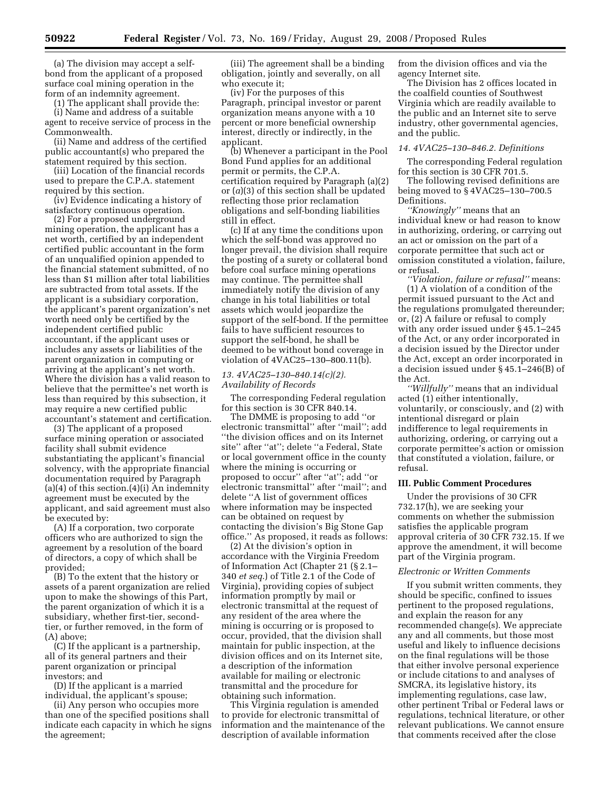(a) The division may accept a selfbond from the applicant of a proposed surface coal mining operation in the form of an indemnity agreement.

(1) The applicant shall provide the:

(i) Name and address of a suitable agent to receive service of process in the Commonwealth.

(ii) Name and address of the certified public accountant(s) who prepared the statement required by this section.

(iii) Location of the financial records used to prepare the C.P.A. statement required by this section.

(iv) Evidence indicating a history of satisfactory continuous operation.

(2) For a proposed underground mining operation, the applicant has a net worth, certified by an independent certified public accountant in the form of an unqualified opinion appended to the financial statement submitted, of no less than \$1 million after total liabilities are subtracted from total assets. If the applicant is a subsidiary corporation, the applicant's parent organization's net worth need only be certified by the independent certified public accountant, if the applicant uses or includes any assets or liabilities of the parent organization in computing or arriving at the applicant's net worth. Where the division has a valid reason to believe that the permittee's net worth is less than required by this subsection, it may require a new certified public accountant's statement and certification.

(3) The applicant of a proposed surface mining operation or associated facility shall submit evidence substantiating the applicant's financial solvency, with the appropriate financial documentation required by Paragraph  $(a)(4)$  of this section. $(4)(i)$  An indemnity agreement must be executed by the applicant, and said agreement must also be executed by:

(A) If a corporation, two corporate officers who are authorized to sign the agreement by a resolution of the board of directors, a copy of which shall be provided;

(B) To the extent that the history or assets of a parent organization are relied upon to make the showings of this Part, the parent organization of which it is a subsidiary, whether first-tier, secondtier, or further removed, in the form of (A) above;

(C) If the applicant is a partnership, all of its general partners and their parent organization or principal investors; and

(D) If the applicant is a married individual, the applicant's spouse;

(ii) Any person who occupies more than one of the specified positions shall indicate each capacity in which he signs the agreement;

(iii) The agreement shall be a binding obligation, jointly and severally, on all who execute it;

(iv) For the purposes of this Paragraph, principal investor or parent organization means anyone with a 10 percent or more beneficial ownership interest, directly or indirectly, in the applicant.

(b) Whenever a participant in the Pool Bond Fund applies for an additional permit or permits, the C.P.A. certification required by Paragraph (a)(2) or (*a*)(3) of this section shall be updated reflecting those prior reclamation obligations and self-bonding liabilities still in effect.

(c) If at any time the conditions upon which the self-bond was approved no longer prevail, the division shall require the posting of a surety or collateral bond before coal surface mining operations may continue. The permittee shall immediately notify the division of any change in his total liabilities or total assets which would jeopardize the support of the self-bond. If the permittee fails to have sufficient resources to support the self-bond, he shall be deemed to be without bond coverage in violation of 4VAC25–130–800.11(b).

# *13. 4VAC25–130–840.14(c)(2). Availability of Records*

The corresponding Federal regulation for this section is 30 CFR 840.14.

The DMME is proposing to add ''or electronic transmittal'' after ''mail''; add ''the division offices and on its Internet site'' after ''at''; delete ''a Federal, State or local government office in the county where the mining is occurring or proposed to occur'' after ''at''; add ''or electronic transmittal'' after ''mail''; and delete ''A list of government offices where information may be inspected can be obtained on request by contacting the division's Big Stone Gap office.'' As proposed, it reads as follows:

(2) At the division's option in accordance with the Virginia Freedom of Information Act (Chapter 21 (§ 2.1– 340 *et seq.*) of Title 2.1 of the Code of Virginia), providing copies of subject information promptly by mail or electronic transmittal at the request of any resident of the area where the mining is occurring or is proposed to occur, provided, that the division shall maintain for public inspection, at the division offices and on its Internet site, a description of the information available for mailing or electronic transmittal and the procedure for obtaining such information.

This Virginia regulation is amended to provide for electronic transmittal of information and the maintenance of the description of available information

from the division offices and via the agency Internet site.

The Division has 2 offices located in the coalfield counties of Southwest Virginia which are readily available to the public and an Internet site to serve industry, other governmental agencies, and the public.

### *14. 4VAC25–130–846.2. Definitions*

The corresponding Federal regulation for this section is 30 CFR 701.5.

The following revised definitions are being moved to § 4VAC25–130–700.5 Definitions.

*''Knowingly''* means that an individual knew or had reason to know in authorizing, ordering, or carrying out an act or omission on the part of a corporate permittee that such act or omission constituted a violation, failure, or refusal.

*''Violation, failure or refusal''* means: (1) A violation of a condition of the permit issued pursuant to the Act and the regulations promulgated thereunder; or, (2) A failure or refusal to comply with any order issued under § 45.1–245 of the Act, or any order incorporated in a decision issued by the Director under the Act, except an order incorporated in a decision issued under § 45.1–246(B) of the Act.

*''Willfully''* means that an individual acted (1) either intentionally, voluntarily, or consciously, and (2) with intentional disregard or plain indifference to legal requirements in authorizing, ordering, or carrying out a corporate permittee's action or omission that constituted a violation, failure, or refusal.

## **III. Public Comment Procedures**

Under the provisions of 30 CFR 732.17(h), we are seeking your comments on whether the submission satisfies the applicable program approval criteria of 30 CFR 732.15. If we approve the amendment, it will become part of the Virginia program.

## *Electronic or Written Comments*

If you submit written comments, they should be specific, confined to issues pertinent to the proposed regulations, and explain the reason for any recommended change(s). We appreciate any and all comments, but those most useful and likely to influence decisions on the final regulations will be those that either involve personal experience or include citations to and analyses of SMCRA, its legislative history, its implementing regulations, case law, other pertinent Tribal or Federal laws or regulations, technical literature, or other relevant publications. We cannot ensure that comments received after the close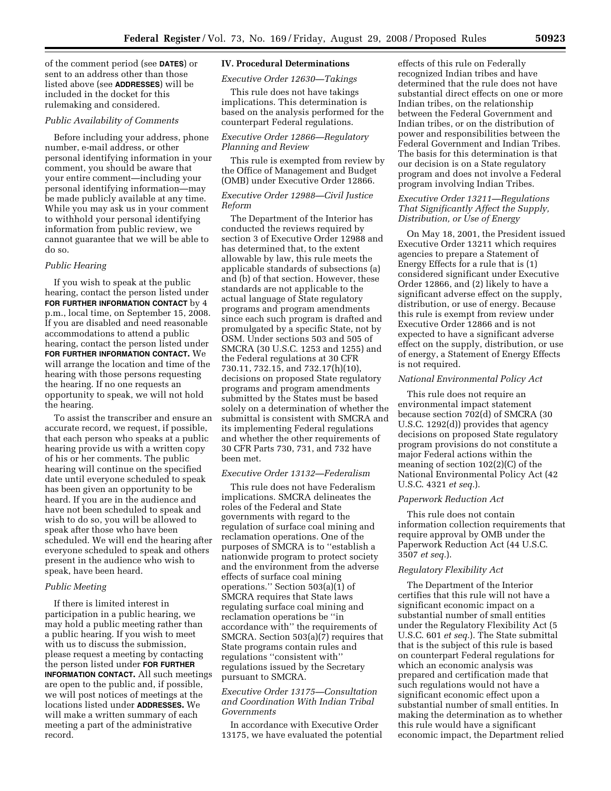of the comment period (see **DATES**) or sent to an address other than those listed above (see **ADDRESSES**) will be included in the docket for this rulemaking and considered.

## *Public Availability of Comments*

Before including your address, phone number, e-mail address, or other personal identifying information in your comment, you should be aware that your entire comment—including your personal identifying information—may be made publicly available at any time. While you may ask us in your comment to withhold your personal identifying information from public review, we cannot guarantee that we will be able to do so.

# *Public Hearing*

If you wish to speak at the public hearing, contact the person listed under **FOR FURTHER INFORMATION CONTACT** by 4 p.m., local time, on September 15, 2008. If you are disabled and need reasonable accommodations to attend a public hearing, contact the person listed under **FOR FURTHER INFORMATION CONTACT.** We will arrange the location and time of the hearing with those persons requesting the hearing. If no one requests an opportunity to speak, we will not hold the hearing.

To assist the transcriber and ensure an accurate record, we request, if possible, that each person who speaks at a public hearing provide us with a written copy of his or her comments. The public hearing will continue on the specified date until everyone scheduled to speak has been given an opportunity to be heard. If you are in the audience and have not been scheduled to speak and wish to do so, you will be allowed to speak after those who have been scheduled. We will end the hearing after everyone scheduled to speak and others present in the audience who wish to speak, have been heard.

### *Public Meeting*

If there is limited interest in participation in a public hearing, we may hold a public meeting rather than a public hearing. If you wish to meet with us to discuss the submission, please request a meeting by contacting the person listed under **FOR FURTHER INFORMATION CONTACT.** All such meetings are open to the public and, if possible, we will post notices of meetings at the locations listed under **ADDRESSES.** We will make a written summary of each meeting a part of the administrative record.

# **IV. Procedural Determinations**

# *Executive Order 12630—Takings*

This rule does not have takings implications. This determination is based on the analysis performed for the counterpart Federal regulations.

# *Executive Order 12866—Regulatory Planning and Review*

This rule is exempted from review by the Office of Management and Budget (OMB) under Executive Order 12866.

# *Executive Order 12988—Civil Justice Reform*

The Department of the Interior has conducted the reviews required by section 3 of Executive Order 12988 and has determined that, to the extent allowable by law, this rule meets the applicable standards of subsections (a) and (b) of that section. However, these standards are not applicable to the actual language of State regulatory programs and program amendments since each such program is drafted and promulgated by a specific State, not by OSM. Under sections 503 and 505 of SMCRA (30 U.S.C. 1253 and 1255) and the Federal regulations at 30 CFR 730.11, 732.15, and 732.17(h)(10), decisions on proposed State regulatory programs and program amendments submitted by the States must be based solely on a determination of whether the submittal is consistent with SMCRA and its implementing Federal regulations and whether the other requirements of 30 CFR Parts 730, 731, and 732 have been met.

#### *Executive Order 13132—Federalism*

This rule does not have Federalism implications. SMCRA delineates the roles of the Federal and State governments with regard to the regulation of surface coal mining and reclamation operations. One of the purposes of SMCRA is to ''establish a nationwide program to protect society and the environment from the adverse effects of surface coal mining operations.'' Section 503(a)(1) of SMCRA requires that State laws regulating surface coal mining and reclamation operations be ''in accordance with'' the requirements of SMCRA. Section 503(a)(7) requires that State programs contain rules and regulations ''consistent with'' regulations issued by the Secretary pursuant to SMCRA.

# *Executive Order 13175—Consultation and Coordination With Indian Tribal Governments*

In accordance with Executive Order 13175, we have evaluated the potential

effects of this rule on Federally recognized Indian tribes and have determined that the rule does not have substantial direct effects on one or more Indian tribes, on the relationship between the Federal Government and Indian tribes, or on the distribution of power and responsibilities between the Federal Government and Indian Tribes. The basis for this determination is that our decision is on a State regulatory program and does not involve a Federal program involving Indian Tribes.

# *Executive Order 13211—Regulations That Significantly Affect the Supply, Distribution, or Use of Energy*

On May 18, 2001, the President issued Executive Order 13211 which requires agencies to prepare a Statement of Energy Effects for a rule that is (1) considered significant under Executive Order 12866, and (2) likely to have a significant adverse effect on the supply, distribution, or use of energy. Because this rule is exempt from review under Executive Order 12866 and is not expected to have a significant adverse effect on the supply, distribution, or use of energy, a Statement of Energy Effects is not required.

#### *National Environmental Policy Act*

This rule does not require an environmental impact statement because section 702(d) of SMCRA (30 U.S.C. 1292(d)) provides that agency decisions on proposed State regulatory program provisions do not constitute a major Federal actions within the meaning of section 102(2)(C) of the National Environmental Policy Act (42 U.S.C. 4321 *et seq.*).

#### *Paperwork Reduction Act*

This rule does not contain information collection requirements that require approval by OMB under the Paperwork Reduction Act (44 U.S.C. 3507 *et seq.*).

#### *Regulatory Flexibility Act*

The Department of the Interior certifies that this rule will not have a significant economic impact on a substantial number of small entities under the Regulatory Flexibility Act (5 U.S.C. 601 *et seq.*). The State submittal that is the subject of this rule is based on counterpart Federal regulations for which an economic analysis was prepared and certification made that such regulations would not have a significant economic effect upon a substantial number of small entities. In making the determination as to whether this rule would have a significant economic impact, the Department relied